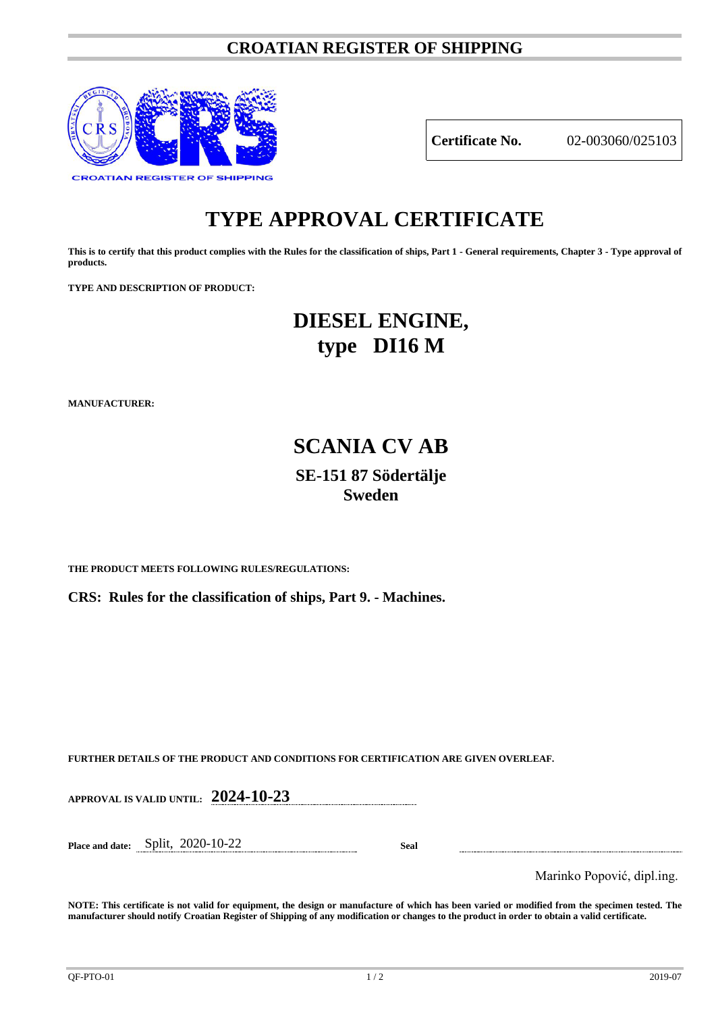# **CROATIAN REGISTER OF SHIPPING**



**Certificate No.** 02-003060/025103

# **TYPE APPROVAL CERTIFICATE**

**This is to certify that this product complies with the Rules for the classification of ships, Part 1 - General requirements, Chapter 3 - Type approval of products.**

**TYPE AND DESCRIPTION OF PRODUCT:** 

# **DIESEL ENGINE, type DI16 M**

**MANUFACTURER:**

# **SCANIA CV AB SE-151 87 Södertälje Sweden**

**THE PRODUCT MEETS FOLLOWING RULES/REGULATIONS:**

**CRS: Rules for the classification of ships, Part 9. - Machines.**

**FURTHER DETAILS OF THE PRODUCT AND CONDITIONS FOR CERTIFICATION ARE GIVEN OVERLEAF.**

**APPROVAL IS VALID UNTIL: 2024-10-23**

**Place and date:** Split, 2020-10-22 **Seal**

Marinko Popović, dipl.ing.

**NOTE: This certificate is not valid for equipment, the design or manufacture of which has been varied or modified from the specimen tested. The manufacturer should notify Croatian Register of Shipping of any modification or changes to the product in order to obtain a valid certificate.**